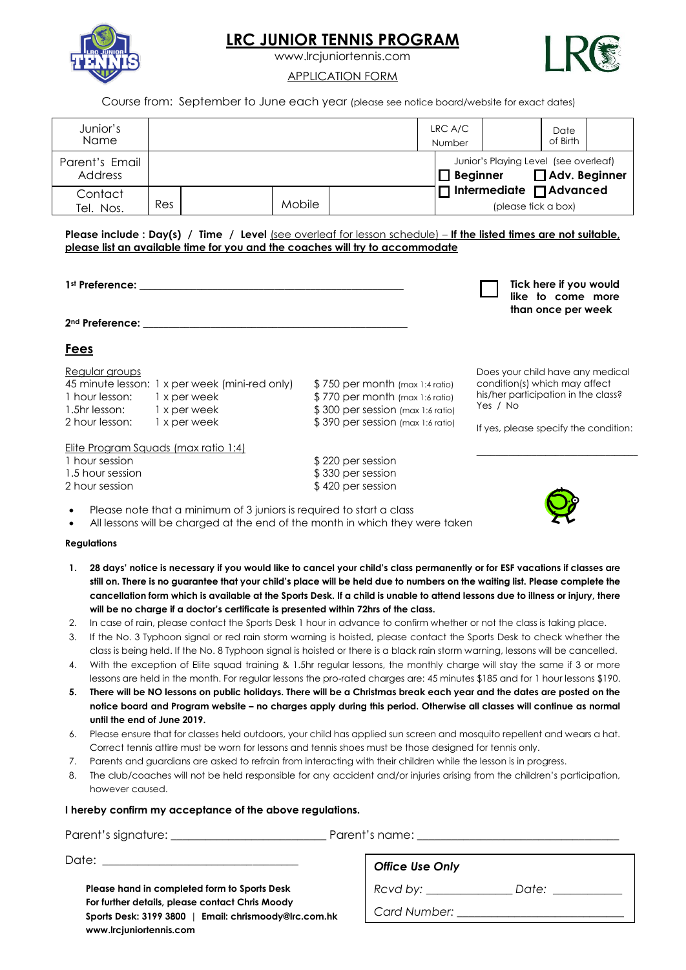

## **LRC JUNIOR TENNIS PROGRAM**

www.lrcjuniortennis.com



#### APPLICATION FORM

Course from: September to June each year (please see notice board/website for exact dates)

| Junior's<br><b>Name</b>   |            |               |  | LRC A/C<br>Number |                                                            | Date<br>of Birth |  |
|---------------------------|------------|---------------|--|-------------------|------------------------------------------------------------|------------------|--|
| Parent's Email<br>Address |            |               |  | $\Box$ Beginner   | Junior's Playing Level (see overleaf)                      | Adv. Beginner    |  |
| Contact<br>Tel. Nos.      | <b>Res</b> | <b>Mobile</b> |  |                   | $\Box$ Intermediate $\Box$ Advanced<br>(please tick a box) |                  |  |

**Please include : Day(s) / Time / Level** (see overleaf for lesson schedule) – **If the listed times are not suitable, please list an available time for you and the coaches will try to accommodate**

| 1 <sup>st</sup> Preference: |
|-----------------------------|
|                             |

| Tick here if you would |  |                    |  |  |  |
|------------------------|--|--------------------|--|--|--|
|                        |  | like to come more  |  |  |  |
|                        |  | than once per week |  |  |  |

Does your child have any medical condition(s) which may affect his/her participation in the class?

If yes, please specify the condition:

\_\_\_\_\_\_\_\_\_\_\_\_\_\_\_\_\_\_\_\_\_\_\_\_\_\_\_\_\_\_\_\_\_\_\_

Yes / No

**2nd Preference:** \_\_\_\_\_\_\_\_\_\_\_\_\_\_\_\_\_\_\_\_\_\_\_\_\_\_\_\_\_\_\_\_\_\_\_\_\_\_\_\_\_\_\_\_\_\_\_\_\_\_\_

### **Fees**

Regular groups

45 minute lesson: 1 x per week (mini-red only) \$750 per month (max 1:4 ratio) 1 hour lesson: 1 x per week \$770 per month (max 1:6 ratio) 1.5hr lesson: 1 x per week \$ 300 per session (max 1:6 ratio) 2 hour lesson: 1 x per week \$ 390 per session (max 1:6 ratio)

Elite Program Squads (max ratio 1:4)

- 
- 1 hour session  $$ 220 per session$ 1.5 hour session \$ 330 per session 2 hour session  $$ 420$  per session
	-
- Please note that a minimum of 3 juniors is required to start a class
- All lessons will be charged at the end of the month in which they were taken

#### **Regulations**

- **1. 28 days' notice is necessary if you would like to cancel your child's class permanently or for ESF vacations if classes are still on. There is no guarantee that your child's place will be held due to numbers on the waiting list. Please complete the cancellation form which is available at the Sports Desk. If a child is unable to attend lessons due to illness or injury, there will be no charge if a doctor's certificate is presented within 72hrs of the class.**
- 2. In case of rain, please contact the Sports Desk 1 hour in advance to confirm whether or not the class is taking place.
- 3. If the No. 3 Typhoon signal or red rain storm warning is hoisted, please contact the Sports Desk to check whether the class is being held. If the No. 8 Typhoon signal is hoisted or there is a black rain storm warning, lessons will be cancelled.
- 4. With the exception of Elite squad training & 1.5hr regular lessons, the monthly charge will stay the same if 3 or more lessons are held in the month. For regular lessons the pro-rated charges are: 45 minutes \$185 and for 1 hour lessons \$190.
- **5. There will be NO lessons on public holidays. There will be a Christmas break each year and the dates are posted on the notice board and Program website – no charges apply during this period. Otherwise all classes will continue as normal until the end of June 2019.**
- 6. Please ensure that for classes held outdoors, your child has applied sun screen and mosquito repellent and wears a hat. Correct tennis attire must be worn for lessons and tennis shoes must be those designed for tennis only.
- 7. Parents and guardians are asked to refrain from interacting with their children while the lesson is in progress.
- 8. The club/coaches will not be held responsible for any accident and/or injuries arising from the children's participation, however caused.

#### **I hereby confirm my acceptance of the above regulations.**

Parent's signature: \_\_\_\_\_\_\_\_\_\_\_\_\_\_\_\_\_\_\_\_\_\_\_\_\_\_\_ Parent's name: \_\_\_\_\_\_\_\_\_\_\_\_\_\_\_\_\_\_\_\_\_\_\_\_\_\_\_\_\_\_\_\_\_\_\_

Date:  $\rule{1em}{0.15mm}$ 

**Please hand in completed form to Sports Desk For further details, please contact Chris Moody Sports Desk: 3199 3800 | Email: chrismoody@lrc.com.hk [www.lrcjuniortennis.com](http://www.lrcjuniortennis.com/)**

*Office Use Only* 

*Rcvd by: \_\_\_\_\_\_\_\_\_\_\_\_\_\_\_ Date: \_\_\_\_\_\_\_\_\_\_\_\_*

*Card Number: \_\_\_\_\_\_\_\_\_\_\_\_\_\_\_\_\_\_\_\_\_\_\_\_\_\_\_\_\_*